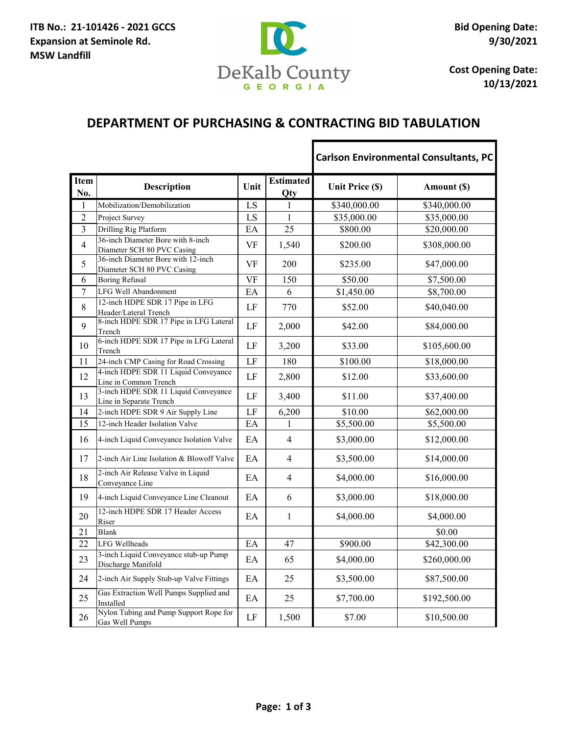

**Cost Opening Date: 10/13/2021**

1

## **DEPARTMENT OF PURCHASING & CONTRACTING BID TABULATION**

Г

|                    |                                                                  |           |                         |                 | <b>Carlson Environmental Consultants, PC</b> |
|--------------------|------------------------------------------------------------------|-----------|-------------------------|-----------------|----------------------------------------------|
| <b>Item</b><br>No. | <b>Description</b>                                               | Unit      | <b>Estimated</b><br>Qty | Unit Price (\$) | Amount (\$)                                  |
| $\mathbf{1}$       | Mobilization/Demobilization                                      | LS        | $\mathbf{1}$            | \$340,000.00    | \$340,000.00                                 |
| $\overline{2}$     | Project Survey                                                   | LS        | $\mathbf{1}$            | \$35,000.00     | \$35,000.00                                  |
| 3                  | Drilling Rig Platform                                            | EA        | 25                      | \$800.00        | \$20,000.00                                  |
| $\overline{4}$     | 36-inch Diameter Bore with 8-inch<br>Diameter SCH 80 PVC Casing  | <b>VF</b> | 1,540                   | \$200.00        | \$308,000.00                                 |
| 5                  | 36-inch Diameter Bore with 12-inch<br>Diameter SCH 80 PVC Casing | <b>VF</b> | 200                     | \$235.00        | \$47,000.00                                  |
| 6                  | <b>Boring Refusal</b>                                            | <b>VF</b> | 150                     | \$50.00         | \$7,500.00                                   |
| $\overline{7}$     | LFG Well Abandonment                                             | EA        | 6                       | \$1,450.00      | \$8,700.00                                   |
| 8                  | 12-inch HDPE SDR 17 Pipe in LFG<br>Header/Lateral Trench         | LF        | 770                     | \$52.00         | \$40,040.00                                  |
| 9                  | 8-inch HDPE SDR 17 Pipe in LFG Lateral<br>Trench                 | LF        | 2,000                   | \$42.00         | \$84,000.00                                  |
| 10                 | 6-inch HDPE SDR 17 Pipe in LFG Lateral<br>Trench                 | LF        | 3,200                   | \$33.00         | \$105,600.00                                 |
| 11                 | 24-inch CMP Casing for Road Crossing                             | LF        | 180                     | \$100.00        | \$18,000.00                                  |
| 12                 | 4-inch HDPE SDR 11 Liquid Conveyance<br>Line in Common Trench    | LF        | 2,800                   | \$12.00         | \$33,600.00                                  |
| 13                 | 3-inch HDPE SDR 11 Liquid Conveyance<br>Line in Separate Trench  | LF        | 3,400                   | \$11.00         | \$37,400.00                                  |
| 14                 | 2-inch HDPE SDR 9 Air Supply Line                                | LF        | 6,200                   | \$10.00         | \$62,000.00                                  |
| 15                 | 12-inch Header Isolation Valve                                   | EA        | $\mathbf{1}$            | \$5,500.00      | \$5,500.00                                   |
| 16                 | 4-inch Liquid Conveyance Isolation Valve                         | EA        | $\overline{4}$          | \$3,000.00      | \$12,000.00                                  |
| 17                 | 2-inch Air Line Isolation & Blowoff Valve                        | EA        | $\overline{4}$          | \$3,500.00      | \$14,000.00                                  |
| 18                 | 2-inch Air Release Valve in Liquid<br>Conveyance Line            | EA        | $\overline{4}$          | \$4,000.00      | \$16,000.00                                  |
| 19                 | 4-inch Liquid Conveyance Line Cleanout                           | EA        | 6                       | \$3,000.00      | \$18,000.00                                  |
| 20                 | 12-inch HDPE SDR 17 Header Access<br>Riser                       | EA        | $\mathbf{1}$            | \$4,000.00      | \$4,000.00                                   |
| 21                 | <b>Blank</b>                                                     |           |                         |                 | \$0.00                                       |
| 22                 | LFG Wellheads                                                    | EA        | 47                      | \$900.00        | \$42,300.00                                  |
| 23                 | 3-inch Liquid Conveyance stub-up Pump<br>Discharge Manifold      | EA        | 65                      | \$4,000.00      | \$260,000.00                                 |
| 24                 | 2-inch Air Supply Stub-up Valve Fittings                         | EA        | 25                      | \$3,500.00      | \$87,500.00                                  |
| 25                 | Gas Extraction Well Pumps Supplied and<br>Installed              | EA        | 25                      | \$7,700.00      | \$192,500.00                                 |
| 26                 | Nylon Tubing and Pump Support Rope for<br>Gas Well Pumps         | $\rm LF$  | 1,500                   | \$7.00          | \$10,500.00                                  |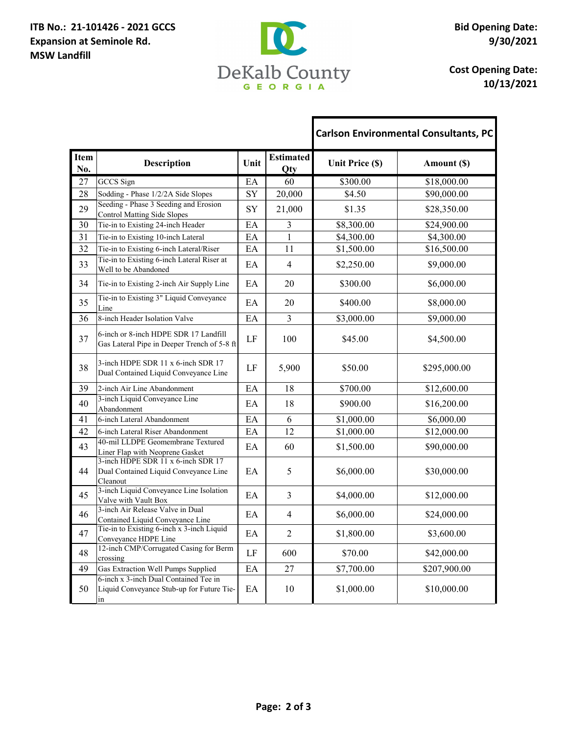## **ITB No.: 21-101426 - 2021 GCCS Expansion at Seminole Rd. MSW Landfill**



Г

**Cost Opening Date: 10/13/2021**

ī

|                    |                                                                                         |           |                         |                        | <b>Carlson Environmental Consultants, PC</b> |
|--------------------|-----------------------------------------------------------------------------------------|-----------|-------------------------|------------------------|----------------------------------------------|
| <b>Item</b><br>No. | <b>Description</b>                                                                      | Unit      | <b>Estimated</b><br>Qty | <b>Unit Price (\$)</b> | Amount (\$)                                  |
| 27                 | <b>GCCS</b> Sign                                                                        | EA        | 60                      | \$300.00               | \$18,000.00                                  |
| 28                 | Sodding - Phase 1/2/2A Side Slopes                                                      | SY        | 20,000                  | \$4.50                 | \$90,000.00                                  |
| 29                 | Seeding - Phase 3 Seeding and Erosion<br><b>Control Matting Side Slopes</b>             | <b>SY</b> | 21,000                  | \$1.35                 | \$28,350.00                                  |
| 30                 | Tie-in to Existing 24-inch Header                                                       | EA        | 3                       | \$8,300.00             | \$24,900.00                                  |
| 31                 | Tie-in to Existing 10-inch Lateral                                                      | EA        | $\mathbf{1}$            | \$4,300.00             | \$4,300.00                                   |
| 32                 | Tie-in to Existing 6-inch Lateral/Riser                                                 | EA        | 11                      | \$1,500.00             | \$16,500.00                                  |
| 33                 | Tie-in to Existing 6-inch Lateral Riser at<br>Well to be Abandoned                      | EA        | $\overline{4}$          | \$2,250.00             | \$9,000.00                                   |
| 34                 | Tie-in to Existing 2-inch Air Supply Line                                               | EA        | 20                      | \$300.00               | \$6,000.00                                   |
| 35                 | Tie-in to Existing 3" Liquid Conveyance<br>Line                                         | EA        | 20                      | \$400.00               | \$8,000.00                                   |
| 36                 | 8-inch Header Isolation Valve                                                           | EA        | 3                       | \$3,000.00             | \$9,000.00                                   |
| 37                 | 6-inch or 8-inch HDPE SDR 17 Landfill<br>Gas Lateral Pipe in Deeper Trench of 5-8 ft    | LF        | 100                     | \$45.00                | \$4,500.00                                   |
| 38                 | 3-inch HDPE SDR 11 x 6-inch SDR 17<br>Dual Contained Liquid Conveyance Line             | LF        | 5,900                   | \$50.00                | \$295,000.00                                 |
| 39                 | 2-inch Air Line Abandonment                                                             | EA        | 18                      | \$700.00               | \$12,600.00                                  |
| 40                 | 3-inch Liquid Conveyance Line<br>Abandonment                                            | EA        | 18                      | \$900.00               | \$16,200.00                                  |
| 41                 | 6-inch Lateral Abandonment                                                              | EA        | 6                       | \$1,000.00             | \$6,000.00                                   |
| 42                 | 6-inch Lateral Riser Abandonment                                                        | EA        | 12                      | \$1,000.00             | \$12,000.00                                  |
| 43                 | 40-mil LLDPE Geomembrane Textured<br>Liner Flap with Neoprene Gasket                    | EA        | 60                      | \$1,500.00             | \$90,000.00                                  |
| 44                 | 3-inch HDPE SDR 11 x 6-inch SDR 17<br>Dual Contained Liquid Conveyance Line<br>Cleanout | EA        | 5                       | \$6,000.00             | \$30,000.00                                  |
| 45                 | 3-inch Liquid Conveyance Line Isolation<br>Valve with Vault Box                         | EA        | 3                       | \$4,000.00             | \$12,000.00                                  |
| 46                 | 3-inch Air Release Valve in Dual<br>Contained Liquid Conveyance Line                    | EA        | $\overline{4}$          | \$6,000.00             | \$24,000.00                                  |
| 47                 | Tie-in to Existing 6-inch x 3-inch Liquid<br>Conveyance HDPE Line                       | EA        | $\overline{2}$          | \$1,800.00             | \$3,600.00                                   |
| 48                 | 12-inch CMP/Corrugated Casing for Berm<br>crossing                                      | LF        | 600                     | \$70.00                | \$42,000.00                                  |
| 49                 | Gas Extraction Well Pumps Supplied                                                      | EA        | 27                      | \$7,700.00             | \$207,900.00                                 |
| 50                 | 6-inch x 3-inch Dual Contained Tee in<br>Liquid Conveyance Stub-up for Future Tie-      | EA        | 10                      | \$1,000.00             | \$10,000.00                                  |
|                    | ın                                                                                      |           |                         |                        |                                              |